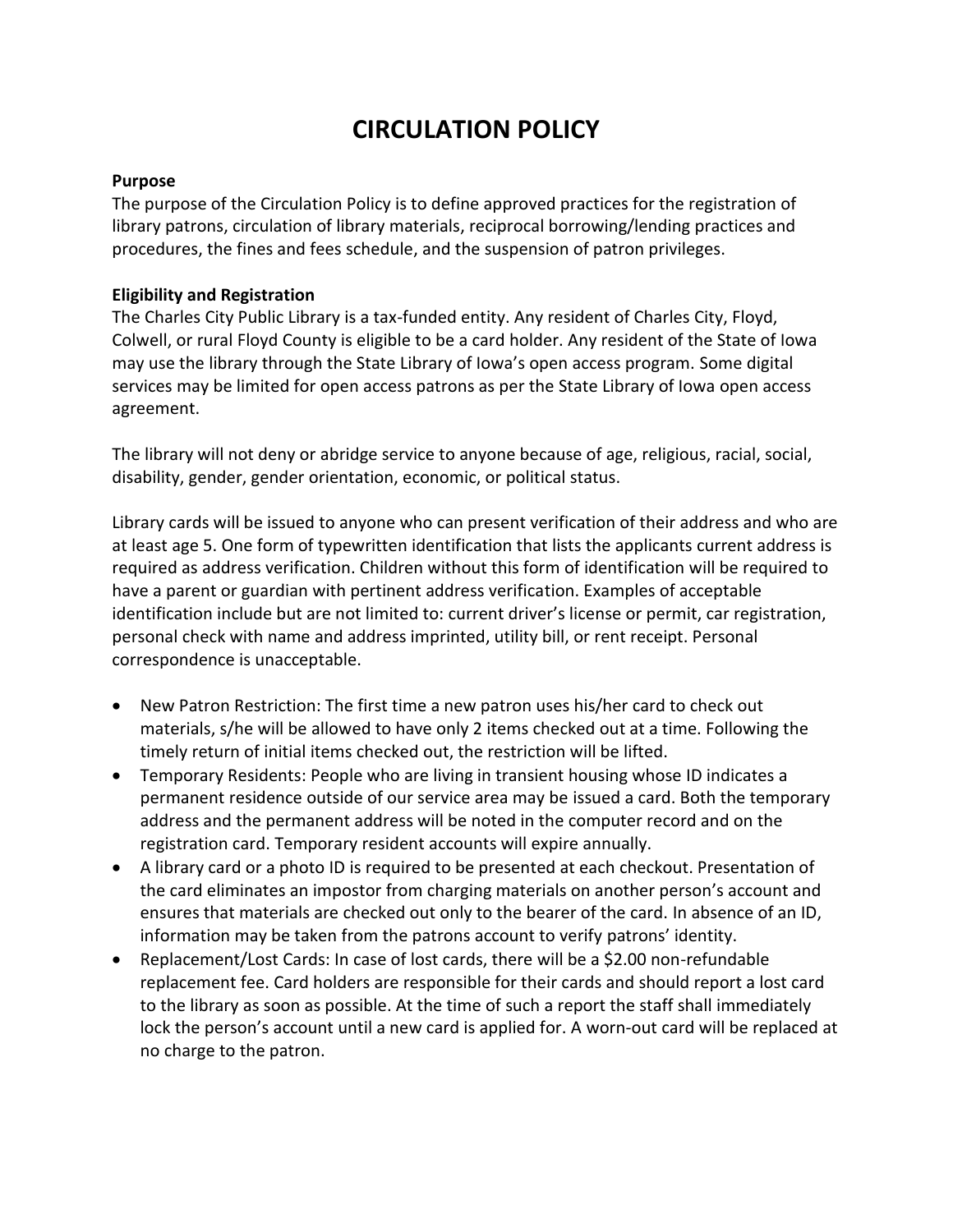# **CIRCULATION POLICY**

#### **Purpose**

The purpose of the Circulation Policy is to define approved practices for the registration of library patrons, circulation of library materials, reciprocal borrowing/lending practices and procedures, the fines and fees schedule, and the suspension of patron privileges.

#### **Eligibility and Registration**

The Charles City Public Library is a tax-funded entity. Any resident of Charles City, Floyd, Colwell, or rural Floyd County is eligible to be a card holder. Any resident of the State of Iowa may use the library through the State Library of Iowa's open access program. Some digital services may be limited for open access patrons as per the State Library of Iowa open access agreement.

The library will not deny or abridge service to anyone because of age, religious, racial, social, disability, gender, gender orientation, economic, or political status.

Library cards will be issued to anyone who can present verification of their address and who are at least age 5. One form of typewritten identification that lists the applicants current address is required as address verification. Children without this form of identification will be required to have a parent or guardian with pertinent address verification. Examples of acceptable identification include but are not limited to: current driver's license or permit, car registration, personal check with name and address imprinted, utility bill, or rent receipt. Personal correspondence is unacceptable.

- New Patron Restriction: The first time a new patron uses his/her card to check out materials, s/he will be allowed to have only 2 items checked out at a time. Following the timely return of initial items checked out, the restriction will be lifted.
- Temporary Residents: People who are living in transient housing whose ID indicates a permanent residence outside of our service area may be issued a card. Both the temporary address and the permanent address will be noted in the computer record and on the registration card. Temporary resident accounts will expire annually.
- A library card or a photo ID is required to be presented at each checkout. Presentation of the card eliminates an impostor from charging materials on another person's account and ensures that materials are checked out only to the bearer of the card. In absence of an ID, information may be taken from the patrons account to verify patrons' identity.
- Replacement/Lost Cards: In case of lost cards, there will be a \$2.00 non-refundable replacement fee. Card holders are responsible for their cards and should report a lost card to the library as soon as possible. At the time of such a report the staff shall immediately lock the person's account until a new card is applied for. A worn-out card will be replaced at no charge to the patron.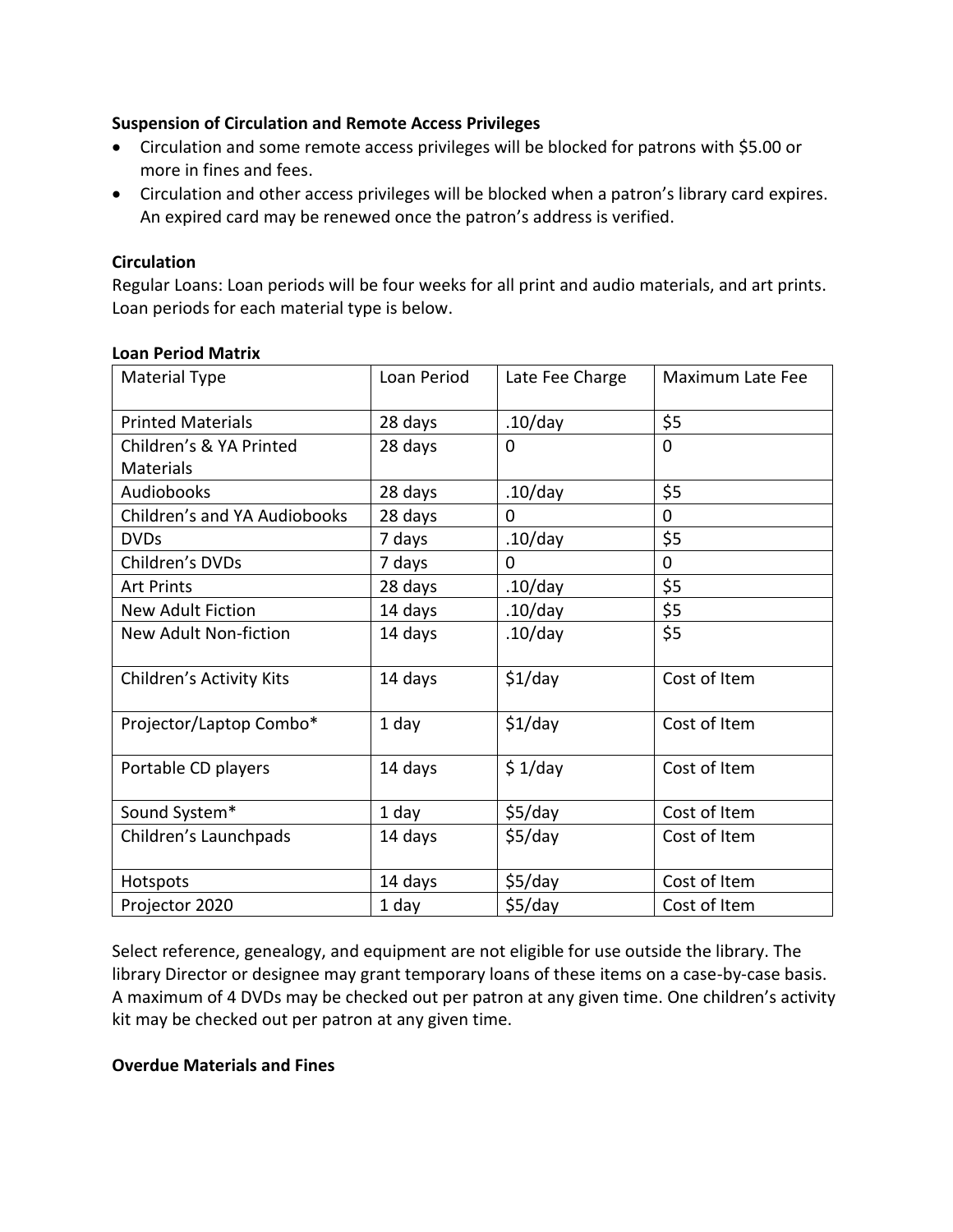## **Suspension of Circulation and Remote Access Privileges**

- Circulation and some remote access privileges will be blocked for patrons with \$5.00 or more in fines and fees.
- Circulation and other access privileges will be blocked when a patron's library card expires. An expired card may be renewed once the patron's address is verified.

## **Circulation**

Regular Loans: Loan periods will be four weeks for all print and audio materials, and art prints. Loan periods for each material type is below.

| <b>Material Type</b>                | Loan Period | Late Fee Charge | Maximum Late Fee |
|-------------------------------------|-------------|-----------------|------------------|
| <b>Printed Materials</b>            | 28 days     | $.10$ /day      | \$5              |
| Children's & YA Printed             | 28 days     | 0               | $\Omega$         |
| <b>Materials</b>                    |             |                 |                  |
| Audiobooks                          | 28 days     | $.10$ /day      | \$5              |
| <b>Children's and YA Audiobooks</b> | 28 days     | 0               | 0                |
| <b>DVDs</b>                         | 7 days      | $.10$ /day      | \$5              |
| Children's DVDs                     | 7 days      | 0               | 0                |
| <b>Art Prints</b>                   | 28 days     | .10/day         | \$5              |
| <b>New Adult Fiction</b>            | 14 days     | $.10$ /day      | \$5              |
| New Adult Non-fiction               | 14 days     | $.10$ /day      | \$5              |
| Children's Activity Kits            | 14 days     | $$1$ /day       | Cost of Item     |
| Projector/Laptop Combo*             | 1 day       | $$1$ /day       | Cost of Item     |
| Portable CD players                 | 14 days     | \$1/day         | Cost of Item     |
| Sound System*                       | 1 day       | \$5/day         | Cost of Item     |
| Children's Launchpads               | 14 days     | \$5/day         | Cost of Item     |
| Hotspots                            | 14 days     | \$5/day         | Cost of Item     |
| Projector 2020                      | 1 day       | \$5/day         | Cost of Item     |

## **Loan Period Matrix**

Select reference, genealogy, and equipment are not eligible for use outside the library. The library Director or designee may grant temporary loans of these items on a case-by-case basis. A maximum of 4 DVDs may be checked out per patron at any given time. One children's activity kit may be checked out per patron at any given time.

#### **Overdue Materials and Fines**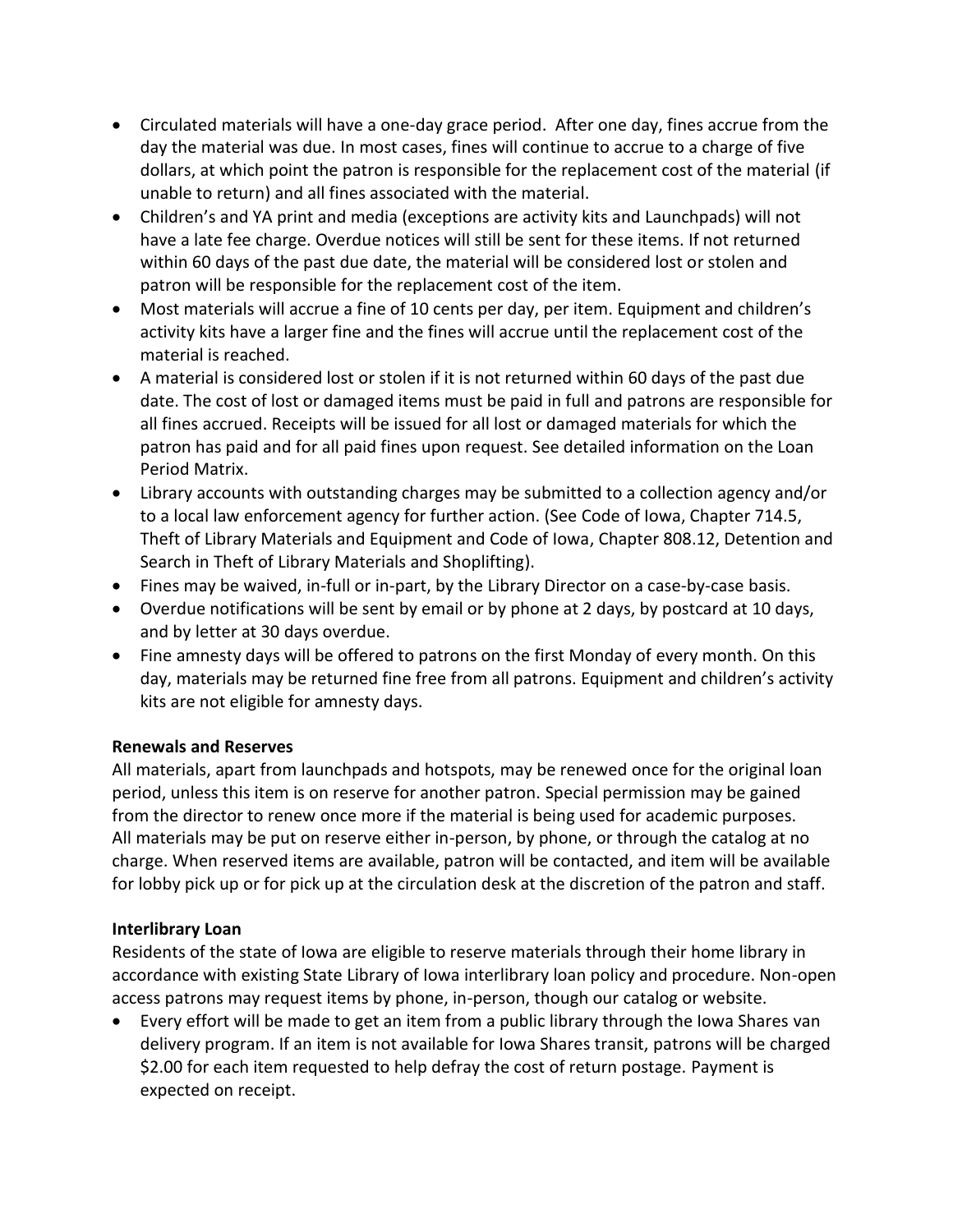- Circulated materials will have a one-day grace period. After one day, fines accrue from the day the material was due. In most cases, fines will continue to accrue to a charge of five dollars, at which point the patron is responsible for the replacement cost of the material (if unable to return) and all fines associated with the material.
- Children's and YA print and media (exceptions are activity kits and Launchpads) will not have a late fee charge. Overdue notices will still be sent for these items. If not returned within 60 days of the past due date, the material will be considered lost or stolen and patron will be responsible for the replacement cost of the item.
- Most materials will accrue a fine of 10 cents per day, per item. Equipment and children's activity kits have a larger fine and the fines will accrue until the replacement cost of the material is reached.
- A material is considered lost or stolen if it is not returned within 60 days of the past due date. The cost of lost or damaged items must be paid in full and patrons are responsible for all fines accrued. Receipts will be issued for all lost or damaged materials for which the patron has paid and for all paid fines upon request. See detailed information on the Loan Period Matrix.
- Library accounts with outstanding charges may be submitted to a collection agency and/or to a local law enforcement agency for further action. (See Code of Iowa, Chapter 714.5, Theft of Library Materials and Equipment and Code of Iowa, Chapter 808.12, Detention and Search in Theft of Library Materials and Shoplifting).
- Fines may be waived, in-full or in-part, by the Library Director on a case-by-case basis.
- Overdue notifications will be sent by email or by phone at 2 days, by postcard at 10 days, and by letter at 30 days overdue.
- Fine amnesty days will be offered to patrons on the first Monday of every month. On this day, materials may be returned fine free from all patrons. Equipment and children's activity kits are not eligible for amnesty days.

# **Renewals and Reserves**

All materials, apart from launchpads and hotspots, may be renewed once for the original loan period, unless this item is on reserve for another patron. Special permission may be gained from the director to renew once more if the material is being used for academic purposes. All materials may be put on reserve either in-person, by phone, or through the catalog at no charge. When reserved items are available, patron will be contacted, and item will be available for lobby pick up or for pick up at the circulation desk at the discretion of the patron and staff.

# **Interlibrary Loan**

Residents of the state of Iowa are eligible to reserve materials through their home library in accordance with existing State Library of Iowa interlibrary loan policy and procedure. Non-open access patrons may request items by phone, in-person, though our catalog or website.

• Every effort will be made to get an item from a public library through the Iowa Shares van delivery program. If an item is not available for Iowa Shares transit, patrons will be charged \$2.00 for each item requested to help defray the cost of return postage. Payment is expected on receipt.